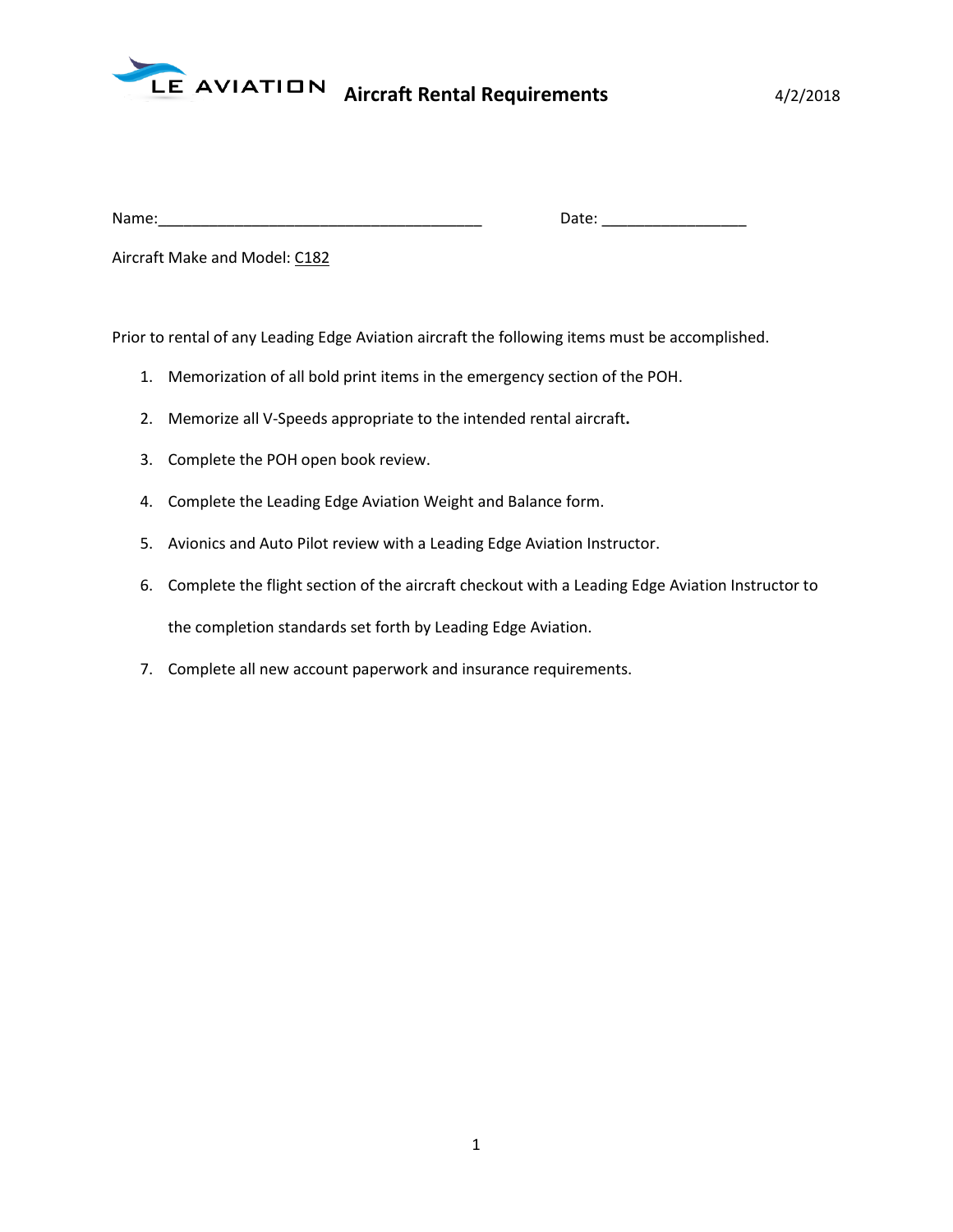

| Name: | . .<br>succ.<br>_____ |
|-------|-----------------------|

Aircraft Make and Model: C182

Prior to rental of any Leading Edge Aviation aircraft the following items must be accomplished.

- 1. Memorization of all bold print items in the emergency section of the POH.
- 2. Memorize all V-Speeds appropriate to the intended rental aircraft**.**
- 3. Complete the POH open book review.
- 4. Complete the Leading Edge Aviation Weight and Balance form.
- 5. Avionics and Auto Pilot review with a Leading Edge Aviation Instructor.
- 6. Complete the flight section of the aircraft checkout with a Leading Edge Aviation Instructor to the completion standards set forth by Leading Edge Aviation.
- 7. Complete all new account paperwork and insurance requirements.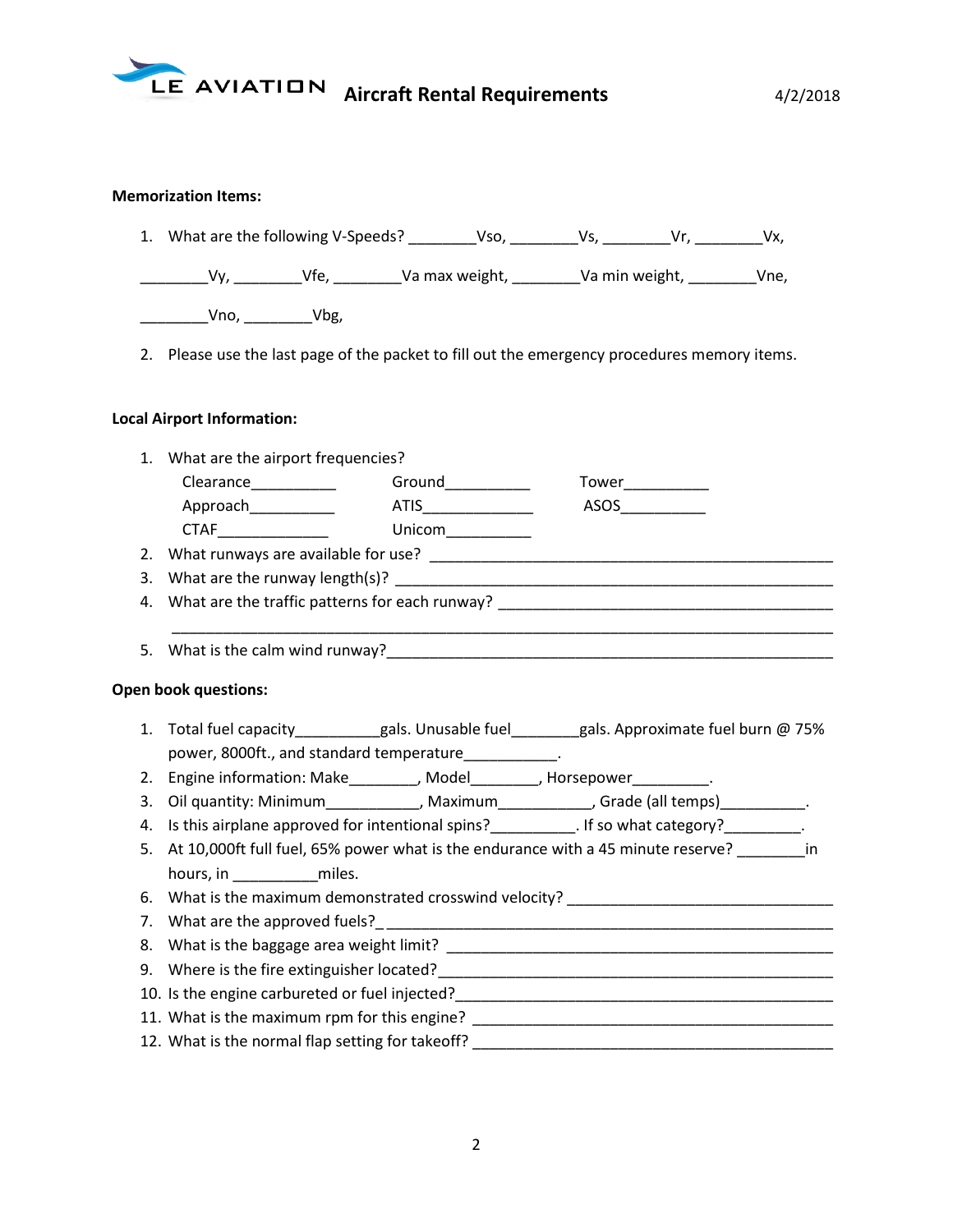

## **Memorization Items:**

|  | 1. What are the following V-Speeds? | Vso. |  |  | Vx. |  |
|--|-------------------------------------|------|--|--|-----|--|
|--|-------------------------------------|------|--|--|-----|--|

\_\_\_\_\_\_\_\_Vy, \_\_\_\_\_\_\_\_Vfe, \_\_\_\_\_\_\_\_Va max weight, \_\_\_\_\_\_\_\_Va min weight, \_\_\_\_\_\_\_\_Vne,

\_\_\_\_\_\_\_\_Vno, \_\_\_\_\_\_\_\_Vbg,

2. Please use the last page of the packet to fill out the emergency procedures memory items.

## **Local Airport Information:**

- 1. What are the airport frequencies? Clearance\_\_\_\_\_\_\_\_\_\_ Ground\_\_\_\_\_\_\_\_\_\_ Tower\_\_\_\_\_\_\_\_\_\_ Approach\_\_\_\_\_\_\_\_\_\_\_\_\_ ATIS\_\_\_\_\_\_\_\_\_\_\_\_\_\_\_\_ ASOS\_\_\_\_\_\_\_\_\_\_\_\_ CTAF\_\_\_\_\_\_\_\_\_\_\_\_\_ Unicom\_\_\_\_\_\_\_\_\_\_ 2. What runways are available for use? \_\_\_\_\_\_\_\_\_\_\_\_\_\_\_\_\_\_\_\_\_\_\_\_\_\_\_\_\_\_\_\_\_\_\_\_\_\_\_\_\_\_\_\_\_\_\_ 3. What are the runway length(s)? \_\_\_\_\_\_\_\_\_\_\_\_\_\_\_\_\_\_\_\_\_\_\_\_\_\_\_\_\_\_\_\_\_\_\_\_\_\_\_\_\_\_\_\_\_\_\_\_\_\_\_ 4. What are the traffic patterns for each runway? \_\_\_\_\_\_\_\_\_\_\_\_\_\_\_\_\_\_\_\_\_\_\_\_\_\_\_\_\_\_\_ \_\_\_\_\_\_\_\_\_\_\_\_\_\_\_\_\_\_\_\_\_\_\_\_\_\_\_\_\_\_\_\_\_\_\_\_\_\_\_\_\_\_\_\_\_\_\_\_\_\_\_\_\_\_\_\_\_\_\_\_\_\_\_\_\_\_\_\_\_\_\_\_\_\_\_\_\_ 5. What is the calm wind runway? **Open book questions:** 1. Total fuel capacity\_\_\_\_\_\_\_\_\_gals. Unusable fuel\_\_\_\_\_\_gals. Approximate fuel burn @ 75% power, 8000ft., and standard temperature\_\_\_\_\_\_\_\_\_\_ 2. Engine information: Make\_\_\_\_\_\_\_\_\_, Model\_\_\_\_\_\_\_\_, Horsepower\_\_\_\_\_\_\_\_\_\_. 3. Oil quantity: Minimum\_\_\_\_\_\_\_\_\_\_\_, Maximum\_\_\_\_\_\_\_\_\_\_\_, Grade (all temps)\_\_\_\_\_\_\_\_\_\_\_. 4. Is this airplane approved for intentional spins?\_\_\_\_\_\_\_\_\_\_. If so what category?\_\_\_\_\_\_\_\_\_.
	- 5. At 10,000ft full fuel, 65% power what is the endurance with a 45 minute reserve? in hours, in \_\_\_\_\_\_\_\_\_\_miles.
	- 6. What is the maximum demonstrated crosswind velocity?
	- 7. What are the approved fuels?\_ \_\_\_\_\_\_\_\_\_\_\_\_\_\_\_\_\_\_\_\_\_\_\_\_\_\_\_\_\_\_\_\_\_\_\_\_\_\_\_\_\_\_\_\_\_\_\_\_\_\_\_\_
	- 8. What is the baggage area weight limit? \_\_\_\_\_\_\_\_\_\_\_\_\_\_\_\_\_\_\_\_\_\_\_\_\_\_\_\_\_\_\_\_\_\_\_\_\_\_\_\_\_\_\_\_\_
	- 9. Where is the fire extinguisher located?\_\_\_\_\_\_\_\_\_\_\_\_\_\_\_\_\_\_\_\_\_\_\_\_\_\_\_\_\_\_\_\_\_\_\_\_\_\_\_\_\_\_\_\_\_\_
	- 10. Is the engine carbureted or fuel injected?\_\_\_\_\_\_\_\_\_\_\_\_\_\_\_\_\_\_\_\_\_\_\_\_\_\_\_\_\_\_\_\_\_\_\_\_\_\_\_\_\_\_\_\_
	- 11. What is the maximum rpm for this engine? \_\_\_\_\_\_\_\_\_\_\_\_\_\_\_\_\_\_\_\_\_\_\_\_\_\_\_\_\_\_\_\_\_\_\_
	- 12. What is the normal flap setting for takeoff? \_\_\_\_\_\_\_\_\_\_\_\_\_\_\_\_\_\_\_\_\_\_\_\_\_\_\_\_\_\_\_\_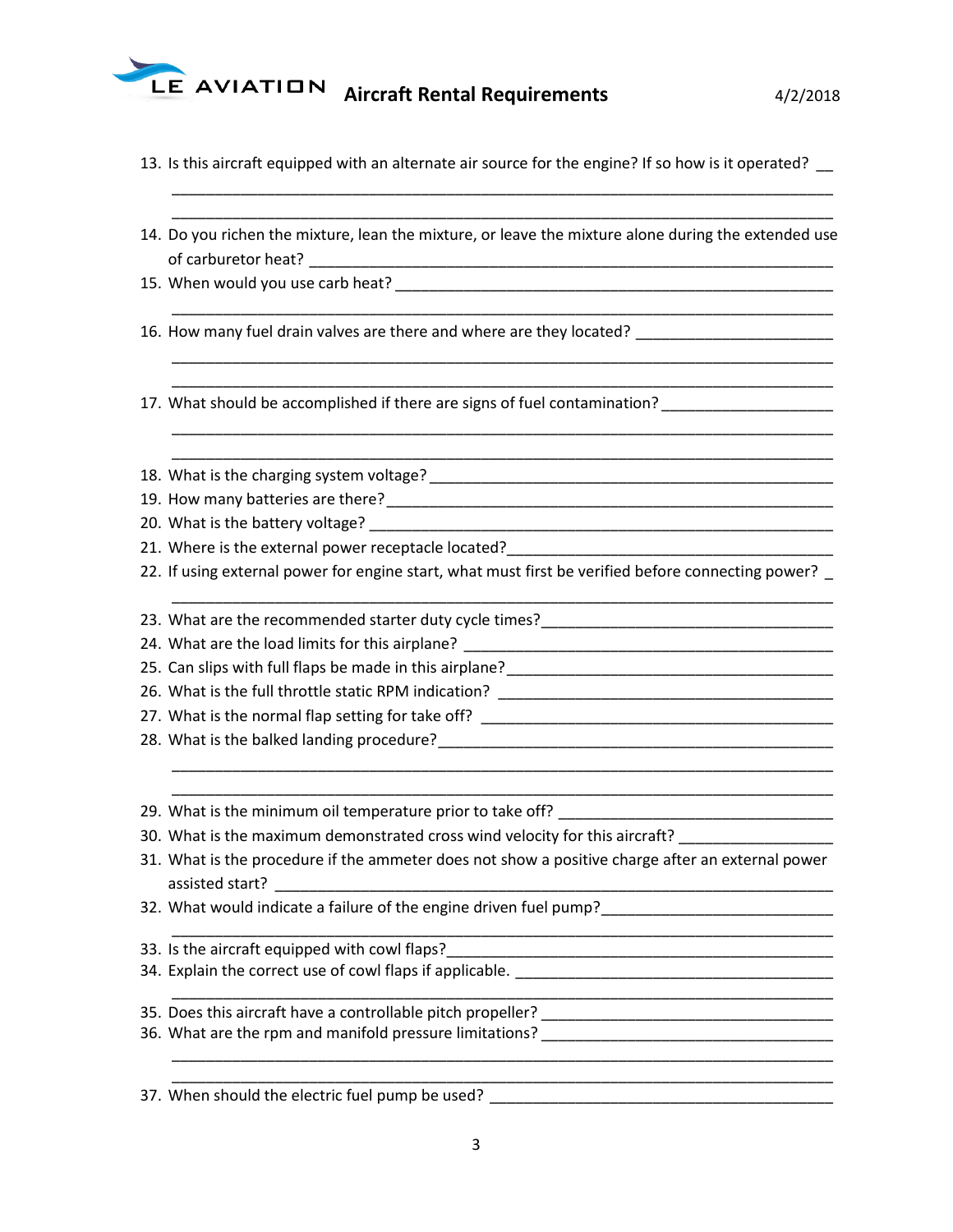

|  |  |  |  |  |  | 13. Is this aircraft equipped with an alternate air source for the engine? If so how is it operated? |
|--|--|--|--|--|--|------------------------------------------------------------------------------------------------------|
|--|--|--|--|--|--|------------------------------------------------------------------------------------------------------|

| 14. Do you richen the mixture, lean the mixture, or leave the mixture alone during the extended use<br>16. How many fuel drain valves are there and where are they located? _______________________________<br>17. What should be accomplished if there are signs of fuel contamination? _________________________ |
|--------------------------------------------------------------------------------------------------------------------------------------------------------------------------------------------------------------------------------------------------------------------------------------------------------------------|
|                                                                                                                                                                                                                                                                                                                    |
|                                                                                                                                                                                                                                                                                                                    |
|                                                                                                                                                                                                                                                                                                                    |
|                                                                                                                                                                                                                                                                                                                    |
|                                                                                                                                                                                                                                                                                                                    |
|                                                                                                                                                                                                                                                                                                                    |
|                                                                                                                                                                                                                                                                                                                    |
|                                                                                                                                                                                                                                                                                                                    |
|                                                                                                                                                                                                                                                                                                                    |
| 22. If using external power for engine start, what must first be verified before connecting power?                                                                                                                                                                                                                 |
|                                                                                                                                                                                                                                                                                                                    |
|                                                                                                                                                                                                                                                                                                                    |
|                                                                                                                                                                                                                                                                                                                    |
|                                                                                                                                                                                                                                                                                                                    |
|                                                                                                                                                                                                                                                                                                                    |
|                                                                                                                                                                                                                                                                                                                    |
| <u> 1990 - Johann John Stoff, mars and de British and de British and de British and de British and de British and</u>                                                                                                                                                                                              |
| 30. What is the maximum demonstrated cross wind velocity for this aircraft? _______________________                                                                                                                                                                                                                |
| 31. What is the procedure if the ammeter does not show a positive charge after an external power<br>assisted start? The contract of the contract of the contract of the contract of the contract of the contract of                                                                                                |
| 32. What would indicate a failure of the engine driven fuel pump?__________________________________                                                                                                                                                                                                                |
| 33. Is the aircraft equipped with cowl flaps?                                                                                                                                                                                                                                                                      |
|                                                                                                                                                                                                                                                                                                                    |
|                                                                                                                                                                                                                                                                                                                    |
|                                                                                                                                                                                                                                                                                                                    |
| 37. When should the electric fuel pump be used?                                                                                                                                                                                                                                                                    |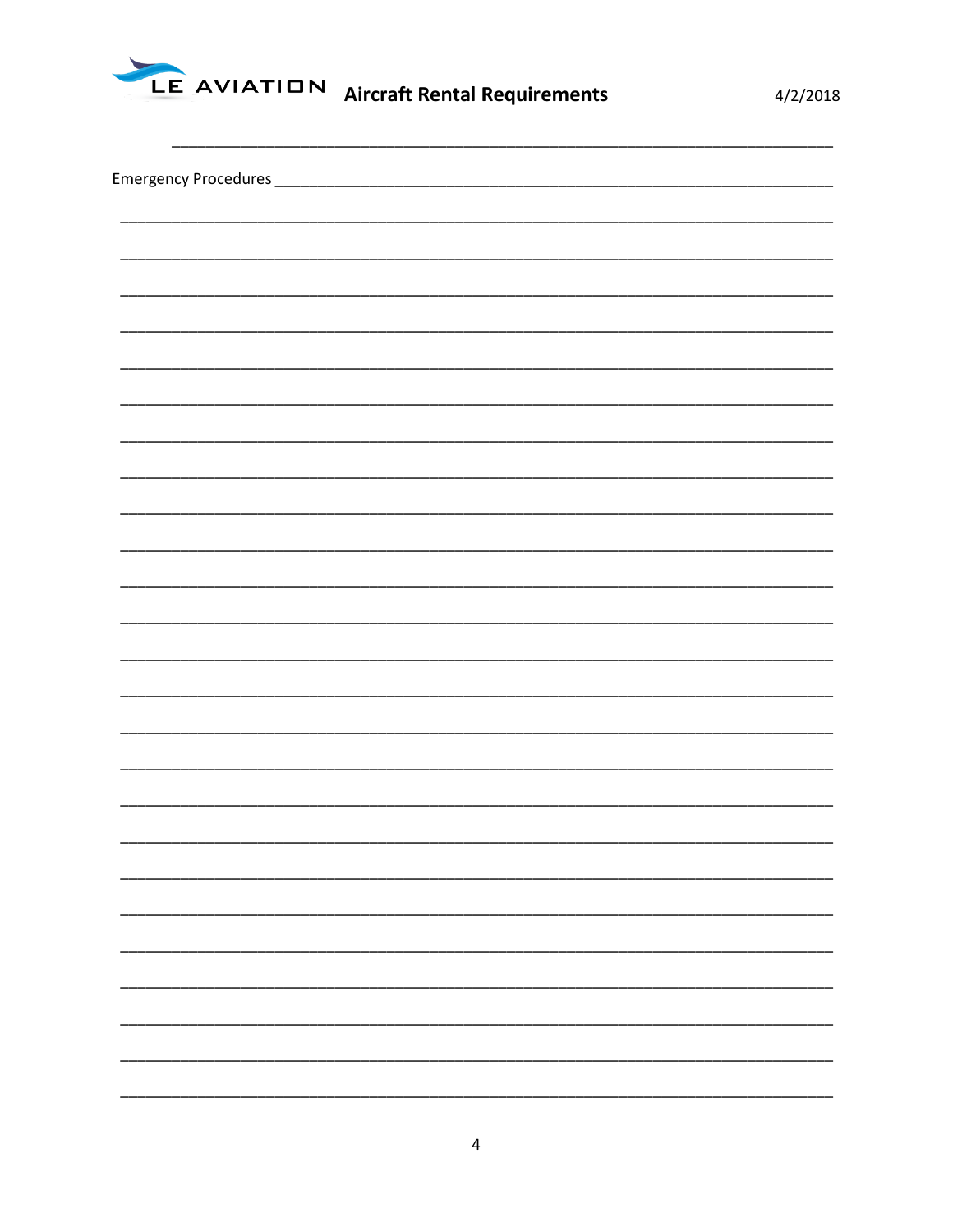

 $4/2/2018$